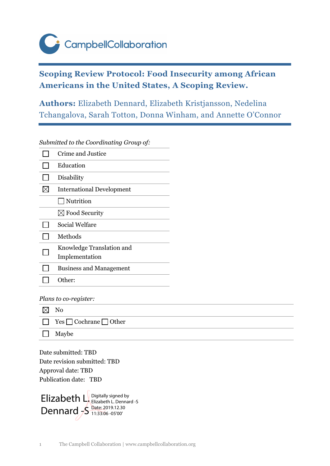CampbellCollaboration

# **Scoping Review Protocol: Food Insecurity among African Americans in the United States, A Scoping Review.**

**Authors:** Elizabeth Dennard, Elizabeth Kristjansson, Nedelina Tchangalova, Sarah Totton, Donna Winham, and Annette O'Connor

*Submitted to the Coordinating Group of:*

| Crime and Justice                |
|----------------------------------|
| Education                        |
| Disability                       |
| <b>International Development</b> |
| Nutrition                        |
| $\boxtimes$ Food Security        |
| Social Welfare                   |
| Methods                          |
| Knowledge Translation and        |
| Implementation                   |
| <b>Business and Management</b>   |
| Other:                           |

*Plans to co-register:*

| $\boxtimes$ | $\mathbf{N}\mathbf{o}$                  |
|-------------|-----------------------------------------|
|             | $\Box$ Yes $\Box$ Cochrane $\Box$ Other |
|             | $\Box$ Maybe                            |

Date submitted: TBD Date revision submitted: TBD Approval date: TBD Publication date: TBD

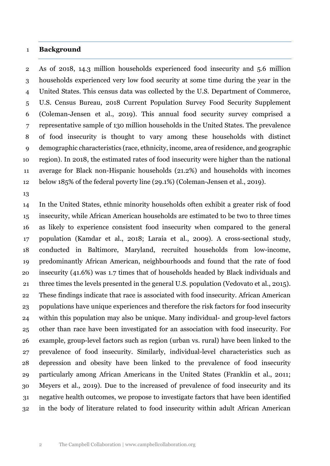#### **Background**

 As of 2018, 14.3 million households experienced food insecurity and 5.6 million households experienced very low food security at some time during the year in the United States. This census data was collected by the U.S. Department of Commerce, U.S. Census Bureau, 2018 Current Population Survey Food Security Supplement (Coleman-Jensen et al., 2019). This annual food security survey comprised a representative sample of 130 million households in the United States. The prevalence of food insecurity is thought to vary among these households with distinct demographic characteristics (race, ethnicity, income, area of residence, and geographic region). In 2018, the estimated rates of food insecurity were higher than the national average for Black non-Hispanic households (21.2%) and households with incomes below 185% of the federal poverty line (29.1%) (Coleman-Jensen et al., 2019).

 In the United States, ethnic minority households often exhibit a greater risk of food insecurity, while African American households are estimated to be two to three times as likely to experience consistent food insecurity when compared to the general population (Kamdar et al., 2018; Laraia et al., 2009). A cross-sectional study, conducted in Baltimore, Maryland, recruited households from low-income, predominantly African American, neighbourhoods and found that the rate of food insecurity (41.6%) was 1.7 times that of households headed by Black individuals and three times the levels presented in the general U.S. population (Vedovato et al., 2015). These findings indicate that race is associated with food insecurity. African American populations have unique experiences and therefore the risk factors for food insecurity within this population may also be unique. Many individual- and group-level factors other than race have been investigated for an association with food insecurity. For example, group-level factors such as region (urban vs. rural) have been linked to the prevalence of food insecurity. Similarly, individual-level characteristics such as depression and obesity have been linked to the prevalence of food insecurity particularly among African Americans in the United States (Franklin et al., 2011; Meyers et al., 2019). Due to the increased of prevalence of food insecurity and its negative health outcomes, we propose to investigate factors that have been identified in the body of literature related to food insecurity within adult African American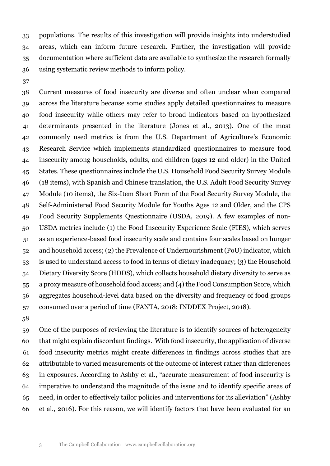populations. The results of this investigation will provide insights into understudied areas, which can inform future research. Further, the investigation will provide documentation where sufficient data are available to synthesize the research formally using systematic review methods to inform policy.

 Current measures of food insecurity are diverse and often unclear when compared across the literature because some studies apply detailed questionnaires to measure food insecurity while others may refer to broad indicators based on hypothesized determinants presented in the literature (Jones et al., 2013). One of the most commonly used metrics is from the U.S. Department of Agriculture's Economic Research Service which implements standardized questionnaires to measure food insecurity among households, adults, and children (ages 12 and older) in the United States. These questionnaires include the U.S. Household Food Security Survey Module (18 items), with Spanish and Chinese translation, the U.S. Adult Food Security Survey Module (10 items), the Six-Item Short Form of the Food Security Survey Module, the Self-Administered Food Security Module for Youths Ages 12 and Older, and the CPS Food Security Supplements Questionnaire (USDA, 2019). A few examples of non- USDA metrics include (1) the Food Insecurity Experience Scale (FIES), which serves as an experience-based food insecurity scale and contains four scales based on hunger and household access; (2) the Prevalence of Undernourishment (PoU) indicator, which is used to understand access to food in terms of dietary inadequacy; (3) the Household Dietary Diversity Score (HDDS), which collects household dietary diversity to serve as a proxy measure of household food access; and (4) the Food Consumption Score, which aggregates household-level data based on the diversity and frequency of food groups consumed over a period of time (FANTA, 2018; INDDEX Project, 2018).

 One of the purposes of reviewing the literature is to identify sources of heterogeneity that might explain discordant findings. With food insecurity, the application of diverse food insecurity metrics might create differences in findings across studies that are attributable to varied measurements of the outcome of interest rather than differences in exposures. According to Ashby et al., "accurate measurement of food insecurity is imperative to understand the magnitude of the issue and to identify specific areas of need, in order to effectively tailor policies and interventions for its alleviation" (Ashby et al., 2016). For this reason, we will identify factors that have been evaluated for an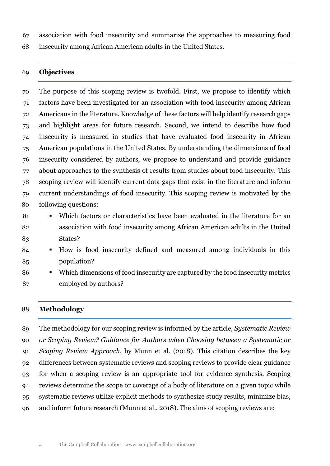association with food insecurity and summarize the approaches to measuring food

insecurity among African American adults in the United States.

## **Objectives**

 The purpose of this scoping review is twofold. First, we propose to identify which factors have been investigated for an association with food insecurity among African Americans in the literature. Knowledge of these factors will help identify research gaps and highlight areas for future research. Second, we intend to describe how food insecurity is measured in studies that have evaluated food insecurity in African American populations in the United States. By understanding the dimensions of food insecurity considered by authors, we propose to understand and provide guidance about approaches to the synthesis of results from studies about food insecurity. This scoping review will identify current data gaps that exist in the literature and inform current understandings of food insecurity. This scoping review is motivated by the following questions:

- Which factors or characteristics have been evaluated in the literature for an association with food insecurity among African American adults in the United States?
- 84 How is food insecurity defined and measured among individuals in this population?
- 86 Which dimensions of food insecurity are captured by the food insecurity metrics employed by authors?

## **Methodology**

 The methodology for our scoping review is informed by the article, *Systematic Review or Scoping Review? Guidance for Authors when Choosing between a Systematic or Scoping Review Approach*, by Munn et al. (2018). This citation describes the key differences between systematic reviews and scoping reviews to provide clear guidance for when a scoping review is an appropriate tool for evidence synthesis. Scoping reviews determine the scope or coverage of a body of literature on a given topic while systematic reviews utilize explicit methods to synthesize study results, minimize bias, and inform future research (Munn et al., 2018). The aims of scoping reviews are: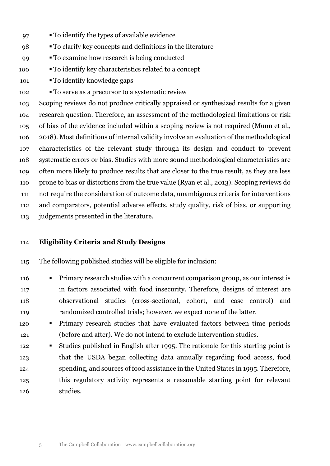- 97 To identify the types of available evidence
- To clarify key concepts and definitions in the literature
- To examine how research is being conducted
- To identify key characteristics related to a concept
- To identify knowledge gaps
- To serve as a precursor to a systematic review

 Scoping reviews do not produce critically appraised or synthesized results for a given research question. Therefore, an assessment of the methodological limitations or risk of bias of the evidence included within a scoping review is not required (Munn et al., 2018). Most definitions of internal validity involve an evaluation of the methodological characteristics of the relevant study through its design and conduct to prevent systematic errors or bias. Studies with more sound methodological characteristics are often more likely to produce results that are closer to the true result, as they are less prone to bias or distortions from the true value (Ryan et al., 2013). Scoping reviews do not require the consideration of outcome data, unambiguous criteria for interventions and comparators, potential adverse effects, study quality, risk of bias, or supporting judgements presented in the literature.

## **Eligibility Criteria and Study Designs**

- The following published studies will be eligible for inclusion:
- 116 Primary research studies with a concurrent comparison group, as our interest is in factors associated with food insecurity. Therefore, designs of interest are observational studies (cross-sectional, cohort, and case control) and randomized controlled trials; however, we expect none of the latter.
- Primary research studies that have evaluated factors between time periods (before and after). We do not intend to exclude intervention studies.
- **Studies published in English after 1995. The rationale for this starting point is**  that the USDA began collecting data annually regarding food access, food spending, and sources of food assistance in the United States in 1995. Therefore, this regulatory activity represents a reasonable starting point for relevant studies.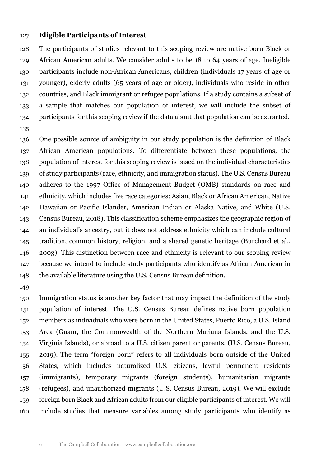#### **Eligible Participants of Interest**

 The participants of studies relevant to this scoping review are native born Black or African American adults. We consider adults to be 18 to 64 years of age. Ineligible participants include non-African Americans, children (individuals 17 years of age or younger), elderly adults (65 years of age or older), individuals who reside in other countries, and Black immigrant or refugee populations. If a study contains a subset of a sample that matches our population of interest, we will include the subset of participants for this scoping review if the data about that population can be extracted.

 One possible source of ambiguity in our study population is the definition of Black African American populations. To differentiate between these populations, the population of interest for this scoping review is based on the individual characteristics of study participants (race, ethnicity, and immigration status). The U.S. Census Bureau adheres to the 1997 Office of Management Budget (OMB) standards on race and ethnicity, which includes five race categories: Asian, Black or African American, Native Hawaiian or Pacific Islander, American Indian or Alaska Native, and White (U.S. Census Bureau, 2018). This classification scheme emphasizes the geographic region of an individual's ancestry, but it does not address ethnicity which can include cultural tradition, common history, religion, and a shared genetic heritage (Burchard et al., 2003). This distinction between race and ethnicity is relevant to our scoping review because we intend to include study participants who identify as African American in the available literature using the U.S. Census Bureau definition.

 Immigration status is another key factor that may impact the definition of the study population of interest. The U.S. Census Bureau defines native born population members as individuals who were born in the United States, Puerto Rico, a U.S. Island Area (Guam, the Commonwealth of the Northern Mariana Islands, and the U.S. Virginia Islands), or abroad to a U.S. citizen parent or parents. (U.S. Census Bureau, 2019). The term "foreign born" refers to all individuals born outside of the United States, which includes naturalized U.S. citizens, lawful permanent residents (immigrants), temporary migrants (foreign students), humanitarian migrants (refugees), and unauthorized migrants (U.S. Census Bureau, 2019). We will exclude foreign born Black and African adults from our eligible participants of interest. We will include studies that measure variables among study participants who identify as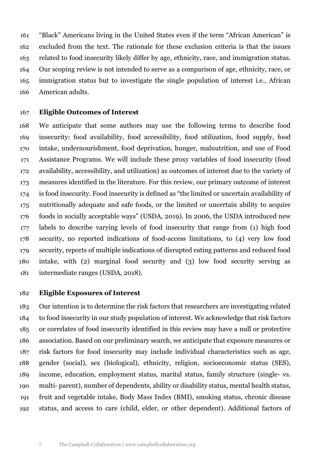"Black" Americans living in the United States even if the term "African American" is excluded from the text. The rationale for these exclusion criteria is that the issues related to food insecurity likely differ by age, ethnicity, race, and immigration status. Our scoping review is not intended to serve as a comparison of age, ethnicity, race, or immigration status but to investigate the single population of interest i.e., African American adults.

## **Eligible Outcomes of Interest**

 We anticipate that some authors may use the following terms to describe food insecurity: food availability, food accessibility, food utilization, food supply, food intake, undernourishment, food deprivation, hunger, malnutrition, and use of Food Assistance Programs. We will include these proxy variables of food insecurity (food availability, accessibility, and utilization) as outcomes of interest due to the variety of measures identified in the literature. For this review, our primary outcome of interest is food insecurity. Food insecurity is defined as "the limited or uncertain availability of nutritionally adequate and safe foods, or the limited or uncertain ability to acquire foods in socially acceptable ways" (USDA, 2019). In 2006, the USDA introduced new labels to describe varying levels of food insecurity that range from (1) high food security, no reported indications of food-access limitations, to (4) very low food security, reports of multiple indications of disrupted eating patterns and reduced food intake, with (2) marginal food security and (3) low food security serving as intermediate ranges (USDA, 2018).

#### **Eligible Exposures of Interest**

 Our intention is to determine the risk factors that researchers are investigating related to food insecurity in our study population of interest. We acknowledge that risk factors or correlates of food insecurity identified in this review may have a null or protective association. Based on our preliminary search, we anticipate that exposure measures or risk factors for food insecurity may include individual characteristics such as age, gender (social), sex (biological), ethnicity, religion, socioeconomic status (SES), income, education, employment status, marital status, family structure (single- vs. multi- parent), number of dependents, ability or disability status, mental health status, fruit and vegetable intake, Body Mass Index (BMI), smoking status, chronic disease status, and access to care (child, elder, or other dependent). Additional factors of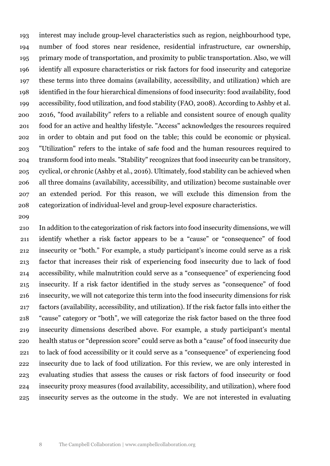interest may include group-level characteristics such as region, neighbourhood type, number of food stores near residence, residential infrastructure, car ownership, primary mode of transportation, and proximity to public transportation. Also, we will identify all exposure characteristics or risk factors for food insecurity and categorize these terms into three domains (availability, accessibility, and utilization) which are identified in the four hierarchical dimensions of food insecurity: food availability, food accessibility, food utilization, and food stability (FAO, 2008). According to Ashby et al. 2016, "food availability" refers to a reliable and consistent source of enough quality food for an active and healthy lifestyle. "Access" acknowledges the resources required in order to obtain and put food on the table; this could be economic or physical. "Utilization" refers to the intake of safe food and the human resources required to transform food into meals. "Stability" recognizes that food insecurity can be transitory, cyclical, or chronic (Ashby et al., 2016). Ultimately, food stability can be achieved when all three domains (availability, accessibility, and utilization) become sustainable over an extended period. For this reason, we will exclude this dimension from the categorization of individual-level and group-level exposure characteristics.

#### 

 In addition to the categorization of risk factors into food insecurity dimensions, we will identify whether a risk factor appears to be a "cause" or "consequence" of food insecurity or "both." For example, a study participant's income could serve as a risk factor that increases their risk of experiencing food insecurity due to lack of food accessibility, while malnutrition could serve as a "consequence" of experiencing food insecurity. If a risk factor identified in the study serves as "consequence" of food insecurity, we will not categorize this term into the food insecurity dimensions for risk factors (availability, accessibility, and utilization). If the risk factor falls into either the "cause" category or "both", we will categorize the risk factor based on the three food insecurity dimensions described above. For example, a study participant's mental health status or "depression score" could serve as both a "cause" of food insecurity due to lack of food accessibility or it could serve as a "consequence" of experiencing food insecurity due to lack of food utilization. For this review, we are only interested in evaluating studies that assess the causes or risk factors of food insecurity or food insecurity proxy measures (food availability, accessibility, and utilization), where food insecurity serves as the outcome in the study. We are not interested in evaluating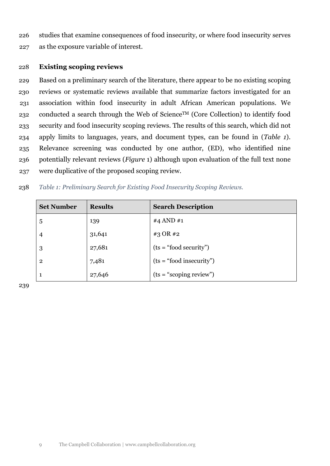<span id="page-8-1"></span> studies that examine consequences of food insecurity, or where food insecurity serves as the exposure variable of interest.

## **Existing scoping reviews**

 Based on a preliminary search of the literature, there appear to be no existing scoping reviews or systematic reviews available that summarize factors investigated for an association within food insecurity in adult African American populations. We 232 conducted a search through the Web of Science<sup>TM</sup> (Core Collection) to identify food security and food insecurity scoping reviews. The results of this search, which did not apply limits to languages, years, and document types, can be found in (*[Table 1](#page-8-0)*). Relevance screening was conducted by one author, (ED), who identified nine potentially relevant reviews (*[Figure](#page-8-1)* 1) although upon evaluation of the full text none were duplicative of the proposed scoping review.

## *Table 1: Preliminary Search for Existing Food Insecurity Scoping Reviews.*

<span id="page-8-0"></span>

| <b>Set Number</b> | <b>Results</b> | <b>Search Description</b> |
|-------------------|----------------|---------------------------|
| 5                 | 139            | #4 AND #1                 |
| $\overline{4}$    | 31,641         | #3 OR #2                  |
| 3                 | 27,681         | $(ts = "food security")$  |
| $\overline{2}$    | 7,481          | $(ts = "food\,$           |
| 1                 | 27,646         | $(ts = "scoping review")$ |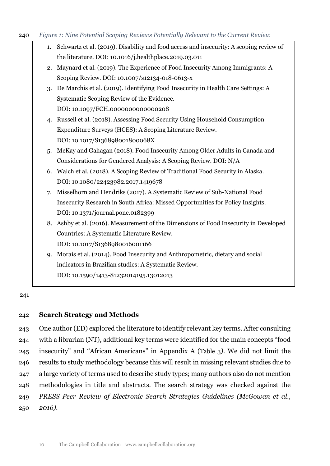#### 240 *Figure 1: Nine Potential Scoping Reviews Potentially Relevant to the Current Review*

| 1. Schwartz et al. (2019). Disability and food access and insecurity: A scoping review of |
|-------------------------------------------------------------------------------------------|
| the literature. DOI: 10.1016/j.healthplace.2019.03.011                                    |

- 2. Maynard et al. (2019). The Experience of Food Insecurity Among Immigrants: A Scoping Review. DOI: 10.1007/s12134-018-0613-x
- 3. De Marchis et al. (2019). Identifying Food Insecurity in Health Care Settings: A Systematic Scoping Review of the Evidence. DOI: 10.1097/FCH.0000000000000208
- 4. Russell et al. (2018). Assessing Food Security Using Household Consumption Expenditure Surveys (HCES): A Scoping Literature Review. DOI: 10.1017/S136898001800068X
- 5. McKay and Gahagan (2018). Food Insecurity Among Older Adults in Canada and Considerations for Gendered Analysis: A Scoping Review. DOI: N/A
- 6. Walch et al. (2018). A Scoping Review of Traditional Food Security in Alaska. DOI: 10.1080/22423982.2017.1419678
- 7. Misselhorn and Hendriks (2017). A Systematic Review of Sub-National Food Insecurity Research in South Africa: Missed Opportunities for Policy Insights. DOI: 10.1371/journal.pone.0182399
- 8. Ashby et al. (2016). Measurement of the Dimensions of Food Insecurity in Developed Countries: A Systematic Literature Review. DOI: 10.1017/S1368980016001166
	-
- 9. Morais et al. (2014). Food Insecurity and Anthropometric, dietary and social indicators in Brazilian studies: A Systematic Review. DOI: 10.1590/1413-81232014195.13012013

#### 241

#### 242 **Search Strategy and Methods**

 One author (ED) explored the literature to identify relevant key terms. After consulting with a librarian (NT), additional key terms were identified for the main concepts "food insecurity" and "African Americans" in Appendix A [\(Table 3](#page-25-0)*)*. We did not limit the results to study methodology because this will result in missing relevant studies due to a large variety of terms used to describe study types; many authors also do not mention methodologies in title and abstracts. The search strategy was checked against the *PRESS Peer Review of Electronic Search Strategies Guidelines (McGowan et al.,*  250 *2016).*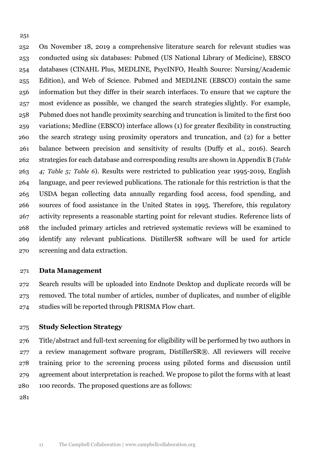On November 18, 2019 a comprehensive literature search for relevant studies was conducted using six databases: Pubmed (US National Library of Medicine), EBSCO databases (CINAHL Plus, MEDLINE, PsycINFO, Health Source: Nursing/Academic Edition), and Web of Science. Pubmed and MEDLINE (EBSCO) contain the same information but they differ in their search interfaces. To ensure that we capture the most evidence as possible, we changed the search strategies slightly. For example, Pubmed does not handle proximity searching and truncation is limited to the first 600 variations; Medline (EBSCO) interface allows (1) for greater flexibility in constructing the search strategy using proximity operators and truncation, and (2) for a better balance between precision and sensitivity of results (Duffy et al., 2016). Search strategies for each database and corresponding results are shown in Appendix B (*[Table](#page-26-0)  [4;](#page-26-0) [Table 5;](#page-26-1) [Table 6](#page-27-0)*). Results were restricted to publication year 1995-2019, English language, and peer reviewed publications. The rationale for this restriction is that the USDA began collecting data annually regarding food access, food spending, and sources of food assistance in the United States in 1995. Therefore, this regulatory activity represents a reasonable starting point for relevant studies. Reference lists of the included primary articles and retrieved systematic reviews will be examined to identify any relevant publications. DistillerSR software will be used for article screening and data extraction.

#### **Data Management**

 Search results will be uploaded into Endnote Desktop and duplicate records will be removed. The total number of articles, number of duplicates, and number of eligible studies will be reported through PRISMA Flow chart.

## **Study Selection Strategy**

 Title/abstract and full-text screening for eligibility will be performed by two authors in a review management software program, DistillerSR®. All reviewers will receive training prior to the screening process using piloted forms and discussion until agreement about interpretation is reached. We propose to pilot the forms with at least 100 records. The proposed questions are as follows: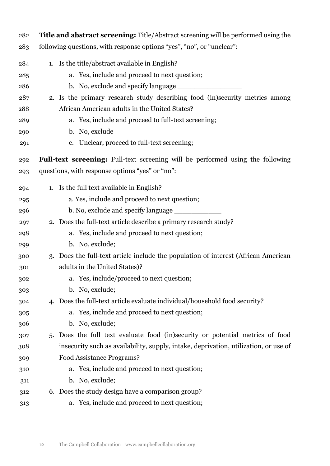| 282 | Title and abstract screening: Title/Abstract screening will be performed using the    |  |  |  |
|-----|---------------------------------------------------------------------------------------|--|--|--|
| 283 | following questions, with response options "yes", "no", or "unclear":                 |  |  |  |
| 284 | 1. Is the title/abstract available in English?                                        |  |  |  |
| 285 | a. Yes, include and proceed to next question;                                         |  |  |  |
| 286 | b. No, exclude and specify language                                                   |  |  |  |
| 287 | 2. Is the primary research study describing food (in)security metrics among           |  |  |  |
| 288 | African American adults in the United States?                                         |  |  |  |
| 289 | a. Yes, include and proceed to full-text screening;                                   |  |  |  |
| 290 | b. No, exclude                                                                        |  |  |  |
| 291 | c. Unclear, proceed to full-text screening;                                           |  |  |  |
| 292 | <b>Full-text screening:</b> Full-text screening will be performed using the following |  |  |  |
| 293 | questions, with response options "yes" or "no":                                       |  |  |  |
| 294 | 1. Is the full text available in English?                                             |  |  |  |
| 295 | a. Yes, include and proceed to next question;                                         |  |  |  |
| 296 |                                                                                       |  |  |  |
| 297 | 2. Does the full-text article describe a primary research study?                      |  |  |  |
| 298 | a. Yes, include and proceed to next question;                                         |  |  |  |
| 299 | b. No, exclude;                                                                       |  |  |  |
| 300 | 3. Does the full-text article include the population of interest (African American    |  |  |  |
| 301 | adults in the United States)?                                                         |  |  |  |
| 302 | a. Yes, include/proceed to next question;                                             |  |  |  |
| 303 | b. No, exclude;                                                                       |  |  |  |
| 304 | 4. Does the full-text article evaluate individual/household food security?            |  |  |  |
| 305 | a. Yes, include and proceed to next question;                                         |  |  |  |
| 306 | b. No, exclude;                                                                       |  |  |  |
| 307 | 5. Does the full text evaluate food (in)security or potential metrics of food         |  |  |  |
| 308 | insecurity such as availability, supply, intake, deprivation, utilization, or use of  |  |  |  |
| 309 | Food Assistance Programs?                                                             |  |  |  |
| 310 | a. Yes, include and proceed to next question;                                         |  |  |  |
| 311 | b. No, exclude;                                                                       |  |  |  |
| 312 | 6. Does the study design have a comparison group?                                     |  |  |  |
| 313 | Yes, include and proceed to next question;<br>a.                                      |  |  |  |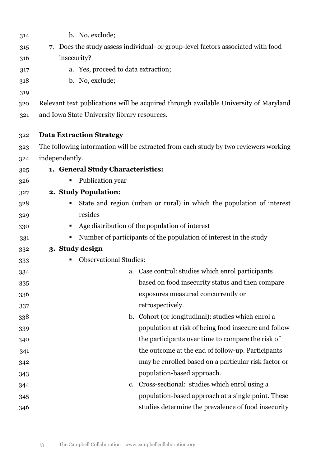| 314 | b. No, exclude;                                                                      |  |  |  |  |
|-----|--------------------------------------------------------------------------------------|--|--|--|--|
| 315 | 7. Does the study assess individual- or group-level factors associated with food     |  |  |  |  |
| 316 | insecurity?                                                                          |  |  |  |  |
| 317 | a. Yes, proceed to data extraction;                                                  |  |  |  |  |
| 318 | b. No, exclude;                                                                      |  |  |  |  |
| 319 |                                                                                      |  |  |  |  |
| 320 | Relevant text publications will be acquired through available University of Maryland |  |  |  |  |
| 321 | and Iowa State University library resources.                                         |  |  |  |  |
| 322 | <b>Data Extraction Strategy</b>                                                      |  |  |  |  |
| 323 | The following information will be extracted from each study by two reviewers working |  |  |  |  |
| 324 | independently.                                                                       |  |  |  |  |
| 325 | 1. General Study Characteristics:                                                    |  |  |  |  |
| 326 | Publication year                                                                     |  |  |  |  |
| 327 | 2. Study Population:                                                                 |  |  |  |  |
| 328 | State and region (urban or rural) in which the population of interest<br>п           |  |  |  |  |
| 329 | resides                                                                              |  |  |  |  |
| 330 | Age distribution of the population of interest<br>ш                                  |  |  |  |  |
| 331 | Number of participants of the population of interest in the study<br>п               |  |  |  |  |
| 332 | 3. Study design                                                                      |  |  |  |  |
| 333 | <b>Observational Studies:</b>                                                        |  |  |  |  |
| 334 | a. Case control: studies which enrol participants                                    |  |  |  |  |
| 335 | based on food insecurity status and then compare                                     |  |  |  |  |
| 336 | exposures measured concurrently or                                                   |  |  |  |  |
| 337 | retrospectively.                                                                     |  |  |  |  |
| 338 | b. Cohort (or longitudinal): studies which enrol a                                   |  |  |  |  |
| 339 | population at risk of being food insecure and follow                                 |  |  |  |  |
| 340 | the participants over time to compare the risk of                                    |  |  |  |  |
| 341 | the outcome at the end of follow-up. Participants                                    |  |  |  |  |
| 342 | may be enrolled based on a particular risk factor or                                 |  |  |  |  |
| 343 | population-based approach.                                                           |  |  |  |  |
| 344 | Cross-sectional: studies which enrol using a<br>c.                                   |  |  |  |  |
| 345 | population-based approach at a single point. These                                   |  |  |  |  |
| 346 | studies determine the prevalence of food insecurity                                  |  |  |  |  |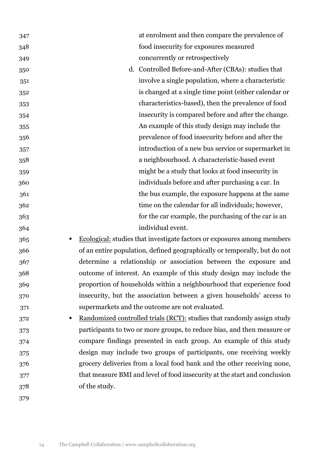| 347      |               | at enrolment and then compare the prevalence of                           |
|----------|---------------|---------------------------------------------------------------------------|
| 348      |               | food insecurity for exposures measured                                    |
| 349      |               | concurrently or retrospectively                                           |
| 350      |               | d. Controlled Before-and-After (CBAs): studies that                       |
| 351      |               | involve a single population, where a characteristic                       |
| 352      |               | is changed at a single time point (either calendar or                     |
| 353      |               | characteristics-based), then the prevalence of food                       |
| 354      |               | insecurity is compared before and after the change.                       |
| 355      |               | An example of this study design may include the                           |
| 356      |               | prevalence of food insecurity before and after the                        |
| 357      |               | introduction of a new bus service or supermarket in                       |
| 358      |               | a neighbourhood. A characteristic-based event                             |
| 359      |               | might be a study that looks at food insecurity in                         |
| 360      |               | individuals before and after purchasing a car. In                         |
| 361      |               | the bus example, the exposure happens at the same                         |
| 362      |               | time on the calendar for all individuals; however,                        |
| 363      |               | for the car example, the purchasing of the car is an                      |
| 364      |               | individual event.                                                         |
| 365<br>ш |               | Ecological: studies that investigate factors or exposures among members   |
| 366      |               | of an entire population, defined geographically or temporally, but do not |
| 367      |               | determine a relationship or association between the exposure and          |
| 368      |               | outcome of interest. An example of this study design may include the      |
| 369      |               | proportion of households within a neighbourhood that experience food      |
| 370      |               | insecurity, but the association between a given households' access to     |
| 371      |               | supermarkets and the outcome are not evaluated.                           |
| 372      |               | Randomized controlled trials (RCT): studies that randomly assign study    |
| 373      |               | participants to two or more groups, to reduce bias, and then measure or   |
| 374      |               | compare findings presented in each group. An example of this study        |
| 375      |               | design may include two groups of participants, one receiving weekly       |
| 376      |               | grocery deliveries from a local food bank and the other receiving none,   |
| 377      |               | that measure BMI and level of food insecurity at the start and conclusion |
| 378      | of the study. |                                                                           |
| 379      |               |                                                                           |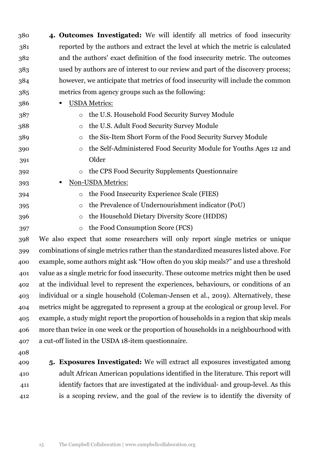- **4. Outcomes Investigated:** We will identify all metrics of food insecurity reported by the authors and extract the level at which the metric is calculated and the authors' exact definition of the food insecurity metric. The outcomes used by authors are of interest to our review and part of the discovery process; however, we anticipate that metrics of food insecurity will include the common metrics from agency groups such as the following:
- USDA Metrics:
- o the U.S. Household Food Security Survey Module o the U.S. Adult Food Security Survey Module o the Six-Item Short Form of the Food Security Survey Module
- o the Self-Administered Food Security Module for Youths Ages 12 and Older
- o the CPS Food Security Supplements Questionnaire
- 393 Non-USDA Metrics:
- o the Food Insecurity Experience Scale (FIES)
- o the Prevalence of Undernourishment indicator (PoU)
- 
- o the Household Dietary Diversity Score (HDDS)
- o the Food Consumption Score (FCS)

 We also expect that some researchers will only report single metrics or unique combinations of single metrics rather than the standardized measures listed above. For example, some authors might ask "How often do you skip meals?" and use a threshold value as a single metric for food insecurity. These outcome metrics might then be used at the individual level to represent the experiences, behaviours, or conditions of an individual or a single household (Coleman-Jensen et al., 2019). Alternatively, these metrics might be aggregated to represent a group at the ecological or group level. For example, a study might report the proportion of households in a region that skip meals more than twice in one week or the proportion of households in a neighbourhood with a cut-off listed in the USDA 18-item questionnaire.

- 
- 

 **5. Exposures Investigated:** We will extract all exposures investigated among adult African American populations identified in the literature. This report will identify factors that are investigated at the individual- and group-level. As this is a scoping review, and the goal of the review is to identify the diversity of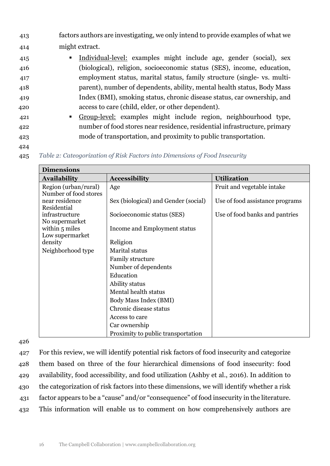- 413 factors authors are investigating, we only intend to provide examples of what we 414 might extract.
- 415 Individual-level: examples might include age, gender (social), sex 416 (biological), religion, socioeconomic status (SES), income, education, 417 employment status, marital status, family structure (single- vs. multi-418 parent), number of dependents, ability, mental health status, Body Mass 419 Index (BMI), smoking status, chronic disease status, car ownership, and 420 access to care (child, elder, or other dependent).
- 421 Group-level: examples might include region, neighbourhood type, 422 number of food stores near residence, residential infrastructure, primary 423 mode of transportation, and proximity to public transportation.
- 424
- 425 *Table 2: Cateogorization of Risk Factors into Dimensions of Food Insecurity*

| <b>Dimensions</b>                                      |                                      |                                 |  |  |
|--------------------------------------------------------|--------------------------------------|---------------------------------|--|--|
| <b>Availability</b>                                    | <b>Accessibility</b>                 | <b>Utilization</b>              |  |  |
| Region (urban/rural)                                   | Age                                  | Fruit and vegetable intake      |  |  |
| Number of food stores<br>near residence<br>Residential | Sex (biological) and Gender (social) | Use of food assistance programs |  |  |
| infrastructure<br>No supermarket                       | Socioeconomic status (SES)           | Use of food banks and pantries  |  |  |
| within 5 miles<br>Low supermarket                      | Income and Employment status         |                                 |  |  |
| density                                                | Religion                             |                                 |  |  |
| Neighborhood type<br>Marital status                    |                                      |                                 |  |  |
|                                                        | <b>Family structure</b>              |                                 |  |  |
|                                                        | Number of dependents                 |                                 |  |  |
|                                                        | Education                            |                                 |  |  |
|                                                        | Ability status                       |                                 |  |  |
|                                                        | Mental health status                 |                                 |  |  |
|                                                        | Body Mass Index (BMI)                |                                 |  |  |
|                                                        | Chronic disease status               |                                 |  |  |
|                                                        | Access to care                       |                                 |  |  |
|                                                        | Car ownership                        |                                 |  |  |
|                                                        | Proximity to public transportation   |                                 |  |  |

426

 For this review, we will identify potential risk factors of food insecurity and categorize them based on three of the four hierarchical dimensions of food insecurity: food availability, food accessibility, and food utilization (Ashby et al., 2016). In addition to the categorization of risk factors into these dimensions, we will identify whether a risk factor appears to be a "cause" and/or "consequence" of food insecurity in the literature. This information will enable us to comment on how comprehensively authors are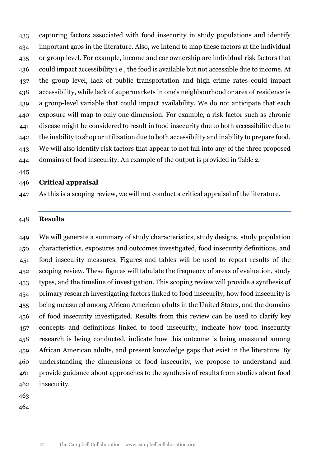capturing factors associated with food insecurity in study populations and identify important gaps in the literature. Also, we intend to map these factors at the individual or group level. For example, income and car ownership are individual risk factors that could impact accessibility i.e., the food is available but not accessible due to income. At the group level, lack of public transportation and high crime rates could impact accessibility, while lack of supermarkets in one's neighbourhood or area of residence is a group-level variable that could impact availability. We do not anticipate that each exposure will map to only one dimension. For example, a risk factor such as chronic disease might be considered to result in food insecurity due to both accessibility due to the inability to shop or utilization due to both accessibility and inability to prepare food. We will also identify risk factors that appear to not fall into any of the three proposed domains of food insecurity. An example of the output is provided in Table 2.

## **Critical appraisal**

As this is a scoping review, we will not conduct a critical appraisal of the literature.

#### **Results**

 We will generate a summary of study characteristics, study designs, study population characteristics, exposures and outcomes investigated, food insecurity definitions, and food insecurity measures. Figures and tables will be used to report results of the scoping review. These figures will tabulate the frequency of areas of evaluation, study types, and the timeline of investigation. This scoping review will provide a synthesis of primary research investigating factors linked to food insecurity, how food insecurity is being measured among African American adults in the United States, and the domains of food insecurity investigated. Results from this review can be used to clarify key concepts and definitions linked to food insecurity, indicate how food insecurity research is being conducted, indicate how this outcome is being measured among African American adults, and present knowledge gaps that exist in the literature. By understanding the dimensions of food insecurity, we propose to understand and provide guidance about approaches to the synthesis of results from studies about food insecurity.

- 
-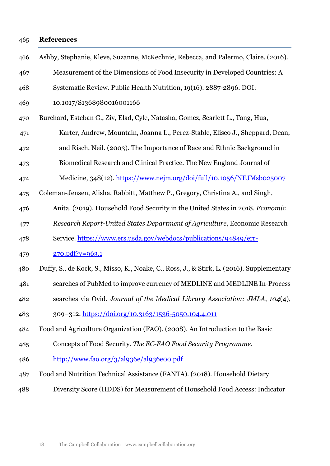#### **References**

 Ashby, Stephanie, Kleve, Suzanne, McKechnie, Rebecca, and Palermo, Claire. (2016). Measurement of the Dimensions of Food Insecurity in Developed Countries: A Systematic Review. Public Health Nutrition, 19(16). 2887-2896. DOI: 10.1017/S1368980016001166 Burchard, Esteban G., Ziv, Elad, Cyle, Natasha, Gomez, Scarlett L., Tang, Hua, Karter, Andrew, Mountain, Joanna L., Perez-Stable, Eliseo J., Sheppard, Dean, and Risch, Neil. (2003). The Importance of Race and Ethnic Background in Biomedical Research and Clinical Practice. The New England Journal of 474 Medicine, 348(12).<https://www.nejm.org/doi/full/10.1056/NEJMsb025007> Coleman-Jensen, Alisha, Rabbitt, Matthew P., Gregory, Christina A., and Singh, Anita. (2019). Household Food Security in the United States in 2018. *Economic Research Report-United States Department of Agriculture*, Economic Research Service. [https://www.ers.usda.gov/webdocs/publications/94849/err-](https://www.ers.usda.gov/webdocs/publications/94849/err-270.pdf?v=963.1)[270.pdf?v=963.1](https://www.ers.usda.gov/webdocs/publications/94849/err-270.pdf?v=963.1) Duffy, S., de Kock, S., Misso, K., Noake, C., Ross, J., & Stirk, L. (2016). Supplementary searches of PubMed to improve currency of MEDLINE and MEDLINE In-Process searches via Ovid. *Journal of the Medical Library Association: JMLA*, *104*(4), 309–312.<https://doi.org/10.3163/1536-5050.104.4.011> Food and Agriculture Organization (FAO). (2008). An Introduction to the Basic Concepts of Food Security. *The EC-FAO Food Security Programme*. <http://www.fao.org/3/al936e/al936e00.pdf> Food and Nutrition Technical Assistance (FANTA). (2018). Household Dietary Diversity Score (HDDS) for Measurement of Household Food Access: Indicator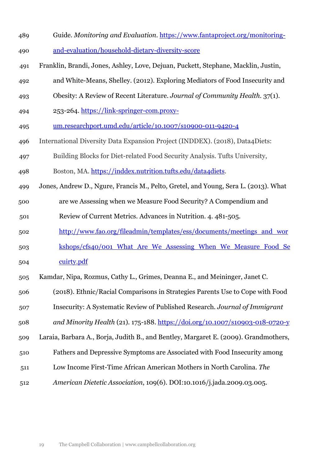- Guide. *Monitoring and Evaluation.* [https://www.fantaproject.org/monitoring-](https://www.fantaproject.org/monitoring-and-evaluation/household-dietary-diversity-score)[and-evaluation/household-dietary-diversity-score](https://www.fantaproject.org/monitoring-and-evaluation/household-dietary-diversity-score)
- Franklin, Brandi, Jones, Ashley, Love, Dejuan, Puckett, Stephane, Macklin, Justin,
- and White-Means, Shelley. (2012). Exploring Mediators of Food Insecurity and
- Obesity: A Review of Recent Literature. *Journal of Community Health.* 37(1).
- 494 253-264. [https://link-springer-com.proxy-](https://link-springer-com.proxy-um.researchport.umd.edu/article/10.1007/s10900-011-9420-4)
- [um.researchport.umd.edu/article/10.1007/s10900-011-9420-4](https://link-springer-com.proxy-um.researchport.umd.edu/article/10.1007/s10900-011-9420-4)
- International Diversity Data Expansion Project (INDDEX). (2018), Data4Diets:
- Building Blocks for Diet-related Food Security Analysis. Tufts University,
- 498 Boston, MA. [https://inddex.nutrition.tufts.edu/data4diets.](https://inddex.nutrition.tufts.edu/data4diets)
- Jones, Andrew D., Ngure, Francis M., Pelto, Gretel, and Young, Sera L. (2013). What
- are we Assessing when we Measure Food Security? A Compendium and
- Review of Current Metrics. Advances in Nutrition. 4. 481-505.
- [http://www.fao.org/fileadmin/templates/ess/documents/meetings\\_and\\_wor](http://www.fao.org/fileadmin/templates/ess/documents/meetings_and_workshops/cfs40/001_What_Are_We_Assessing_When_We_Measure_Food_Secuirty.pdf)
- [kshops/cfs40/001\\_What\\_Are\\_We\\_Assessing\\_When\\_We\\_Measure\\_Food\\_Se](http://www.fao.org/fileadmin/templates/ess/documents/meetings_and_workshops/cfs40/001_What_Are_We_Assessing_When_We_Measure_Food_Secuirty.pdf) [cuirty.pdf](http://www.fao.org/fileadmin/templates/ess/documents/meetings_and_workshops/cfs40/001_What_Are_We_Assessing_When_We_Measure_Food_Secuirty.pdf)
- Kamdar, Nipa, Rozmus, Cathy L., Grimes, Deanna E., and Meininger, Janet C.
- (2018). Ethnic/Racial Comparisons in Strategies Parents Use to Cope with Food
- Insecurity: A Systematic Review of Published Research. *Journal of Immigrant*
- *and Minority Health* (21). 175-188. <https://doi.org/10.1007/s10903-018-0720-y>
- Laraia, Barbara A., Borja, Judith B., and Bentley, Margaret E. (2009). Grandmothers,
- Fathers and Depressive Symptoms are Associated with Food Insecurity among
- Low Income First-Time African American Mothers in North Carolina. *The*
- *American Dietetic Association*, 109(6). DOI:10.1016/j.jada.2009.03.005.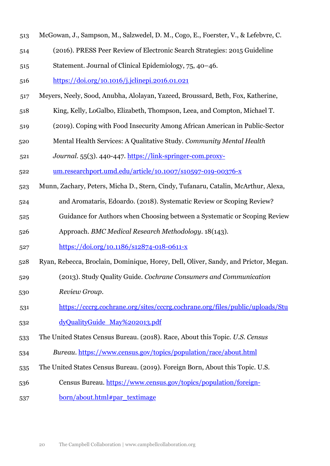- McGowan, J., Sampson, M., Salzwedel, D. M., Cogo, E., Foerster, V., & Lefebvre, C.
- (2016). PRESS Peer Review of Electronic Search Strategies: 2015 Guideline
- Statement. Journal of Clinical Epidemiology, 75, 40–46.
- <https://doi.org/10.1016/j.jclinepi.2016.01.021>
- Meyers, Neely, Sood, Anubha, Alolayan, Yazeed, Broussard, Beth, Fox, Katherine,
- King, Kelly, LoGalbo, Elizabeth, Thompson, Leea, and Compton, Michael T.
- (2019). Coping with Food Insecurity Among African American in Public-Sector
- Mental Health Services: A Qualitative Study. *Community Mental Health*
- *Journal*. 55(3). 440-447. [https://link-springer-com.proxy-](https://link-springer-com.proxy-um.researchport.umd.edu/article/10.1007/s10597-019-00376-x)
- [um.researchport.umd.edu/article/10.1007/s10597-019-00376-x](https://link-springer-com.proxy-um.researchport.umd.edu/article/10.1007/s10597-019-00376-x)
- Munn, Zachary, Peters, Micha D., Stern, Cindy, Tufanaru, Catalin, McArthur, Alexa,
- and Aromataris, Edoardo. (2018). Systematic Review or Scoping Review?
- Guidance for Authors when Choosing between a Systematic or Scoping Review
- Approach. *BMC Medical Research Methodology*. 18(143).
- <https://doi.org/10.1186/s12874-018-0611-x>
- Ryan, Rebecca, Broclain, Dominique, Horey, Dell, Oliver, Sandy, and Prictor, Megan.
- (2013). Study Quality Guide. *Cochrane Consumers and Communication*
- *Review Group*.
- [https://cccrg.cochrane.org/sites/cccrg.cochrane.org/files/public/uploads/Stu](https://cccrg.cochrane.org/sites/cccrg.cochrane.org/files/public/uploads/StudyQualityGuide_May%202013.pdf)
- 532 dyQualityGuide May%202013.pdf
- The United States Census Bureau. (2018). Race, About this Topic. *U.S. Census*
- *Bureau*.<https://www.census.gov/topics/population/race/about.html>
- The United States Census Bureau. (2019). Foreign Born, About this Topic. U.S.
- Census Bureau. [https://www.census.gov/topics/population/foreign-](https://www.census.gov/topics/population/foreign-born/about.html#par_textimage)
- [born/about.html#par\\_textimage](https://www.census.gov/topics/population/foreign-born/about.html#par_textimage)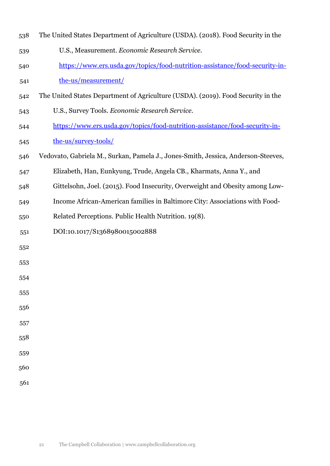- The United States Department of Agriculture (USDA). (2018). Food Security in the
- U.S., Measurement. *Economic Research Service*.
- [https://www.ers.usda.gov/topics/food-nutrition-assistance/food-security-in-](https://www.ers.usda.gov/topics/food-nutrition-assistance/food-security-in-the-us/measurement/)
- [the-us/measurement/](https://www.ers.usda.gov/topics/food-nutrition-assistance/food-security-in-the-us/measurement/)
- The United States Department of Agriculture (USDA). (2019). Food Security in the
- U.S., Survey Tools. *Economic Research Service*.
- [https://www.ers.usda.gov/topics/food-nutrition-assistance/food-security-in](https://www.ers.usda.gov/topics/food-nutrition-assistance/food-security-in-the-us/survey-tools/)[the-us/survey-tools/](https://www.ers.usda.gov/topics/food-nutrition-assistance/food-security-in-the-us/survey-tools/)
- Vedovato, Gabriela M., Surkan, Pamela J., Jones-Smith, Jessica, Anderson-Steeves,
- Elizabeth, Han, Eunkyung, Trude, Angela CB., Kharmats, Anna Y., and
- Gittelsohn, Joel. (2015). Food Insecurity, Overweight and Obesity among Low-
- Income African-American families in Baltimore City: Associations with Food-
- Related Perceptions. Public Health Nutrition. 19(8).
- DOI:10.1017/S1368980015002888
- 
- 
- 
- 
- 
- 
- 
-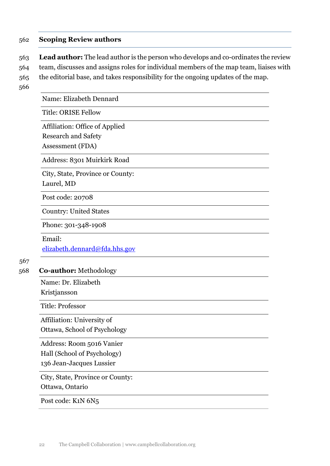## 562 **Scoping Review authors**

563 **Lead author:** The lead author is the person who develops and co-ordinates the review 564 team, discusses and assigns roles for individual members of the map team, liaises with 565 the editorial base, and takes responsibility for the ongoing updates of the map.

566

Name: Elizabeth Dennard

Title: ORISE Fellow

Affiliation: Office of Applied Research and Safety

Assessment (FDA)

Address: 8301 Muirkirk Road

City, State, Province or County:

Laurel, MD

Post code: 20708

Country: United States

Phone: 301-348-1908

#### Email:

[elizabeth.dennard@fda.hhs.gov](mailto:elizabeth.dennard@fda.hhs.gov)

## 567

#### 568 **Co-author:** Methodology

Name: Dr. Elizabeth

Kristjansson

Title: Professor

Affiliation: University of Ottawa, School of Psychology

Address: Room 5016 Vanier

Hall (School of Psychology)

136 Jean-Jacques Lussier

City, State, Province or County:

Ottawa, Ontario

Post code: K1N 6N5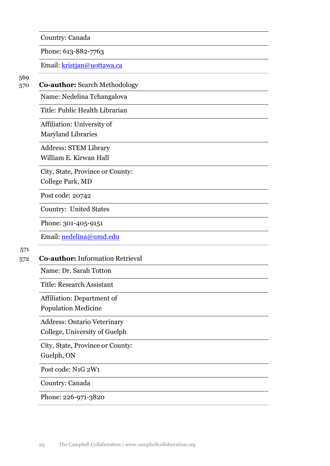Country: Canada

Phone: 613-882-7763

Email: [kristjan@uottawa.ca](mailto:kristjan@uottawa.ca)

## 570 **Co-author:** Search Methodology

Name: Nedelina Tchangalova

Title: Public Health Librarian

Affiliation: University of

Maryland Libraries

Address: STEM Library

William E. Kirwan Hall

City, State, Province or County:

College Park, MD

Post code: 20742

Country: United States

Phone: 301-405-9151

Email: [nedelina@umd.edu](mailto:nedelina@umd.edu)

#### 571

### 572 **Co-author:** Information Retrieval

Name: Dr. Sarah Totton

Title: Research Assistant

Affiliation: Department of

Population Medicine

Address: Ontario Veterinary College, University of Guelph

City, State, Province or County:

Guelph, ON

Post code: N1G 2W1

Country: Canada

Phone: 226-971-3820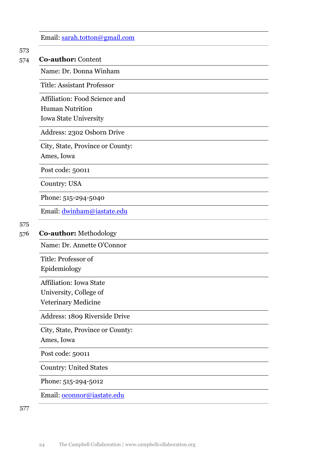| Email: $sarah.tottom@gmail.com$ |  |  |
|---------------------------------|--|--|
|                                 |  |  |

#### 574 **Co-author:** Content

Name: Dr. Donna Winham

Title: Assistant Professor

Affiliation: Food Science and

Human Nutrition

Iowa State University

Address: 2302 Osborn Drive

City, State, Province or County:

Ames, Iowa

Post code: 50011

Country: USA

Phone: 515-294-5040

Email: [dwinham@iastate.edu](mailto:dwinham@iastate.edu)

# 575

#### 576 **Co-author:** Methodology

Name: Dr. Annette O'Connor

Title: Professor of Epidemiology

Affiliation: Iowa State

University, College of

Veterinary Medicine

Address: 1809 Riverside Drive

City, State, Province or County:

Ames, Iowa

Post code: 50011

Country: United States

Phone: 515-294-5012

Email: [oconnor@iastate.edu](mailto:oconnor@iastate.edu)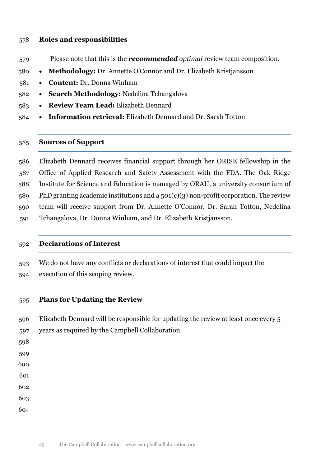#### **Roles and responsibilities**

- Please note that this is the *recommended optimal* review team composition.
- **Methodology:** Dr. Annette O'Connor and Dr. Elizabeth Kristjansson
- **Content:** Dr. Donna Winham
- **Search Methodology:** Nedelina Tchangalova
- **Review Team Lead:** Elizabeth Dennard
- **Information retrieval:** Elizabeth Dennard and Dr. Sarah Totton

## **Sources of Support**

 Elizabeth Dennard receives financial support through her ORISE fellowship in the Office of Applied Research and Safety Assessment with the FDA. The Oak Ridge Institute for Science and Education is managed by ORAU, a university consortium of PhD granting academic institutions and a 501(c)(3) non-profit corporation. The review team will receive support from Dr. Annette O'Connor, Dr. Sarah Totton, Nedelina Tchangalova, Dr. Donna Winham, and Dr. Elizabeth Kristjansson.

#### **Declarations of Interest**

 We do not have any conflicts or declarations of interest that could impact the execution of this scoping review.

## **Plans for Updating the Review**

 Elizabeth Dennard will be responsible for updating the review at least once every 5 years as required by the Campbell Collaboration.

- 
- 
- 
- 
- 
-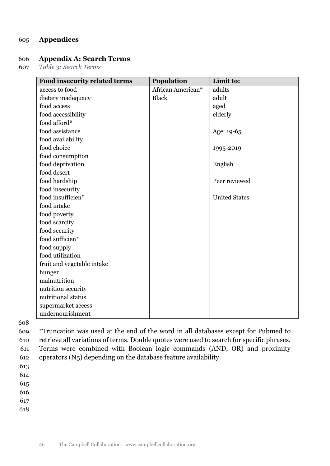## 605 **Appendices**

### 606 **Appendix A: Search Terms**

607 *Table 3: Search Terms* 

<span id="page-25-0"></span>

| Food insecurity related terms | Population        | Limit to:            |
|-------------------------------|-------------------|----------------------|
| access to food                | African American* | adults               |
| dietary inadequacy            | <b>Black</b>      | adult                |
| food access                   |                   | aged                 |
| food accessibility            |                   | elderly              |
| food afford*                  |                   |                      |
| food assistance               |                   | Age: 19-65           |
| food availability             |                   |                      |
| food choice                   |                   | 1995-2019            |
| food consumption              |                   |                      |
| food deprivation              |                   | English              |
| food desert                   |                   |                      |
| food hardship                 |                   | Peer reviewed        |
| food insecurity               |                   |                      |
| food insufficien*             |                   | <b>United States</b> |
| food intake                   |                   |                      |
| food poverty                  |                   |                      |
| food scarcity                 |                   |                      |
| food security                 |                   |                      |
| food sufficien*               |                   |                      |
| food supply                   |                   |                      |
| food utilization              |                   |                      |
| fruit and vegetable intake    |                   |                      |
| hunger                        |                   |                      |
| malnutrition                  |                   |                      |
| nutrition security            |                   |                      |
| nutritional status            |                   |                      |
| supermarket access            |                   |                      |
| undernourishment              |                   |                      |

608

 \*Truncation was used at the end of the word in all databases except for Pubmed to retrieve all variations of terms. Double quotes were used to search for specific phrases. Terms were combined with Boolean logic commands (AND, OR) and proximity operators (N5) depending on the database feature availability.

613

614

615

616

617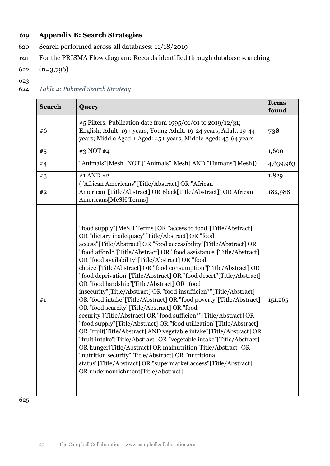## 619 **Appendix B: Search Strategies**

- 620 Search performed across all databases: 11/18/2019
- 621 For the PRISMA Flow diagram: Records identified through database searching
- 622 (n=3,796)
- 623
- 624 *Table 4: Pubmed Search Strategy*

<span id="page-26-1"></span><span id="page-26-0"></span>

| <b>Search</b> | <b>Query</b>                                                                                                                                                                                                                                                                                                                                                                                                                                                                                                                                                                                                                                                                                                                                                                                                                                                                                                                                                                                                                                                                                                                                                                                                                       | <b>Items</b><br>found |
|---------------|------------------------------------------------------------------------------------------------------------------------------------------------------------------------------------------------------------------------------------------------------------------------------------------------------------------------------------------------------------------------------------------------------------------------------------------------------------------------------------------------------------------------------------------------------------------------------------------------------------------------------------------------------------------------------------------------------------------------------------------------------------------------------------------------------------------------------------------------------------------------------------------------------------------------------------------------------------------------------------------------------------------------------------------------------------------------------------------------------------------------------------------------------------------------------------------------------------------------------------|-----------------------|
| #6            | #5 Filters: Publication date from 1995/01/01 to 2019/12/31;<br>English; Adult: 19+ years; Young Adult: 19-24 years; Adult: 19-44<br>years; Middle Aged + Aged: 45+ years; Middle Aged: 45-64 years                                                                                                                                                                                                                                                                                                                                                                                                                                                                                                                                                                                                                                                                                                                                                                                                                                                                                                                                                                                                                                 | 738                   |
| #5            | #3 NOT #4                                                                                                                                                                                                                                                                                                                                                                                                                                                                                                                                                                                                                                                                                                                                                                                                                                                                                                                                                                                                                                                                                                                                                                                                                          | 1,600                 |
| #4            | "Animals"[Mesh] NOT ("Animals"[Mesh] AND "Humans"[Mesh])                                                                                                                                                                                                                                                                                                                                                                                                                                                                                                                                                                                                                                                                                                                                                                                                                                                                                                                                                                                                                                                                                                                                                                           | 4,639,963             |
| #3            | #1 AND #2                                                                                                                                                                                                                                                                                                                                                                                                                                                                                                                                                                                                                                                                                                                                                                                                                                                                                                                                                                                                                                                                                                                                                                                                                          | 1,829                 |
| #2            | ("African Americans"[Title/Abstract] OR "African<br>American"[Title/Abstract] OR Black[Title/Abstract]) OR African<br>Americans[MeSH Terms]                                                                                                                                                                                                                                                                                                                                                                                                                                                                                                                                                                                                                                                                                                                                                                                                                                                                                                                                                                                                                                                                                        | 182,988               |
| #1            | "food supply"[MeSH Terms] OR "access to food"[Title/Abstract]<br>OR "dietary inadequacy"[Title/Abstract] OR "food<br>access"[Title/Abstract] OR "food accessibility"[Title/Abstract] OR<br>"food afford*"[Title/Abstract] OR "food assistance"[Title/Abstract]<br>OR "food availability"[Title/Abstract] OR "food<br>choice"[Title/Abstract] OR "food consumption"[Title/Abstract] OR<br>"food deprivation"[Title/Abstract] OR "food desert"[Title/Abstract]<br>OR "food hardship"[Title/Abstract] OR "food<br>insecurity"[Title/Abstract] OR "food insufficien*"[Title/Abstract]<br>OR "food intake"[Title/Abstract] OR "food poverty"[Title/Abstract]<br>OR "food scarcity"[Title/Abstract] OR "food<br>security"[Title/Abstract] OR "food sufficien*"[Title/Abstract] OR<br>"food supply"[Title/Abstract] OR "food utilization"[Title/Abstract]<br>OR "fruit[Title/Abstract] AND vegetable intake"[Title/Abstract] OR<br>"fruit intake"[Title/Abstract] OR "vegetable intake"[Title/Abstract]<br>OR hunger[Title/Abstract] OR malnutrition[Title/Abstract] OR<br>"nutrition security"[Title/Abstract] OR "nutritional<br>status"[Title/Abstract] OR "supermarket access"[Title/Abstract]<br>OR undernourishment[Title/Abstract] |                       |